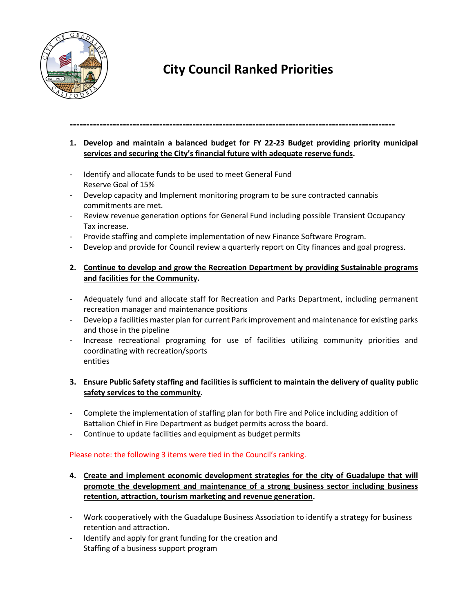

# **City Council Ranked Priorities**

## **--------------------------------------------------------------------------------------------------**

- **1. Develop and maintain a balanced budget for FY 22-23 Budget providing priority municipal services and securing the City's financial future with adequate reserve funds.**
- Identify and allocate funds to be used to meet General Fund Reserve Goal of 15%
- Develop capacity and Implement monitoring program to be sure contracted cannabis commitments are met.
- Review revenue generation options for General Fund including possible Transient Occupancy Tax increase.
- Provide staffing and complete implementation of new Finance Software Program.
- Develop and provide for Council review a quarterly report on City finances and goal progress.
- **2. Continue to develop and grow the Recreation Department by providing Sustainable programs and facilities for the Community.**
- Adequately fund and allocate staff for Recreation and Parks Department, including permanent recreation manager and maintenance positions
- Develop a facilities master plan for current Park improvement and maintenance for existing parks and those in the pipeline
- Increase recreational programing for use of facilities utilizing community priorities and coordinating with recreation/sports entities

## **3. Ensure Public Safety staffing and facilities is sufficient to maintain the delivery of quality public safety services to the community.**

- Complete the implementation of staffing plan for both Fire and Police including addition of Battalion Chief in Fire Department as budget permits across the board.
- Continue to update facilities and equipment as budget permits

## Please note: the following 3 items were tied in the Council's ranking.

- **4. Create and implement economic development strategies for the city of Guadalupe that will promote the development and maintenance of a strong business sector including business retention, attraction, tourism marketing and revenue generation.**
- Work cooperatively with the Guadalupe Business Association to identify a strategy for business retention and attraction.
- Identify and apply for grant funding for the creation and Staffing of a business support program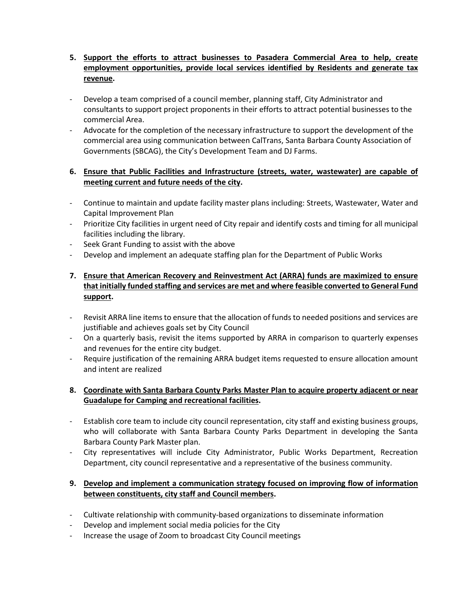- **5. Support the efforts to attract businesses to Pasadera Commercial Area to help, create employment opportunities, provide local services identified by Residents and generate tax revenue.**
- Develop a team comprised of a council member, planning staff, City Administrator and consultants to support project proponents in their efforts to attract potential businesses to the commercial Area.
- Advocate for the completion of the necessary infrastructure to support the development of the commercial area using communication between CalTrans, Santa Barbara County Association of Governments (SBCAG), the City's Development Team and DJ Farms.

## **6. Ensure that Public Facilities and Infrastructure (streets, water, wastewater) are capable of meeting current and future needs of the city.**

- Continue to maintain and update facility master plans including: Streets, Wastewater, Water and Capital Improvement Plan
- Prioritize City facilities in urgent need of City repair and identify costs and timing for all municipal facilities including the library.
- Seek Grant Funding to assist with the above
- Develop and implement an adequate staffing plan for the Department of Public Works
- **7. Ensure that American Recovery and Reinvestment Act (ARRA) funds are maximized to ensure that initially funded staffing and services are met and where feasible converted to General Fund support.**
- Revisit ARRA line items to ensure that the allocation of funds to needed positions and services are justifiable and achieves goals set by City Council
- On a quarterly basis, revisit the items supported by ARRA in comparison to quarterly expenses and revenues for the entire city budget.
- Require justification of the remaining ARRA budget items requested to ensure allocation amount and intent are realized

## **8. Coordinate with Santa Barbara County Parks Master Plan to acquire property adjacent or near Guadalupe for Camping and recreational facilities.**

- Establish core team to include city council representation, city staff and existing business groups, who will collaborate with Santa Barbara County Parks Department in developing the Santa Barbara County Park Master plan.
- City representatives will include City Administrator, Public Works Department, Recreation Department, city council representative and a representative of the business community.

## **9. Develop and implement a communication strategy focused on improving flow of information between constituents, city staff and Council members.**

- Cultivate relationship with community-based organizations to disseminate information
- Develop and implement social media policies for the City
- Increase the usage of Zoom to broadcast City Council meetings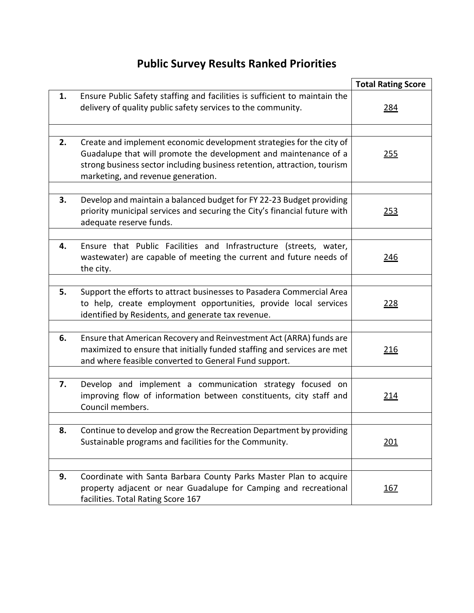# **Public Survey Results Ranked Priorities**

|    |                                                                                                                                                                                                                                                            | <b>Total Rating Score</b> |
|----|------------------------------------------------------------------------------------------------------------------------------------------------------------------------------------------------------------------------------------------------------------|---------------------------|
| 1. | Ensure Public Safety staffing and facilities is sufficient to maintain the<br>delivery of quality public safety services to the community.                                                                                                                 | <u> 284</u>               |
| 2. | Create and implement economic development strategies for the city of<br>Guadalupe that will promote the development and maintenance of a<br>strong business sector including business retention, attraction, tourism<br>marketing, and revenue generation. | <u>255</u>                |
| 3. | Develop and maintain a balanced budget for FY 22-23 Budget providing<br>priority municipal services and securing the City's financial future with<br>adequate reserve funds.                                                                               | 253                       |
| 4. | Ensure that Public Facilities and Infrastructure (streets, water,<br>wastewater) are capable of meeting the current and future needs of<br>the city.                                                                                                       | <u>246</u>                |
| 5. | Support the efforts to attract businesses to Pasadera Commercial Area<br>to help, create employment opportunities, provide local services<br>identified by Residents, and generate tax revenue.                                                            | <u>228</u>                |
| 6. | Ensure that American Recovery and Reinvestment Act (ARRA) funds are<br>maximized to ensure that initially funded staffing and services are met<br>and where feasible converted to General Fund support.                                                    | <u>216</u>                |
| 7. | Develop and implement a communication strategy focused on<br>improving flow of information between constituents, city staff and<br>Council members.                                                                                                        | <u> 214</u>               |
| 8. | Continue to develop and grow the Recreation Department by providing<br>Sustainable programs and facilities for the Community.                                                                                                                              | <u> 201</u>               |
|    |                                                                                                                                                                                                                                                            |                           |
| 9. | Coordinate with Santa Barbara County Parks Master Plan to acquire<br>property adjacent or near Guadalupe for Camping and recreational<br>facilities. Total Rating Score 167                                                                                | <u> 167</u>               |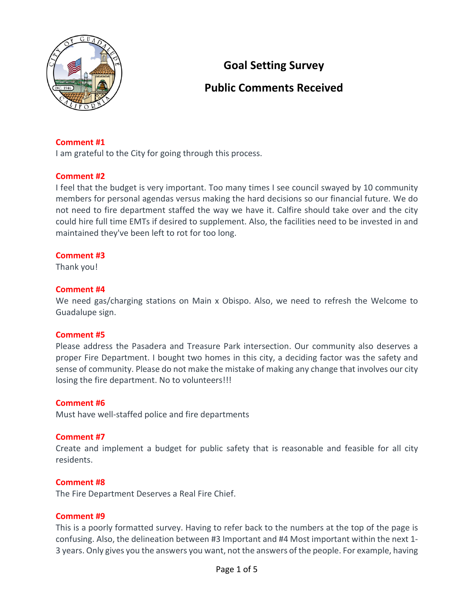

## **Goal Setting Survey**

## **Public Comments Received**

## **Comment #1**

I am grateful to the City for going through this process.

## **Comment #2**

I feel that the budget is very important. Too many times I see council swayed by 10 community members for personal agendas versus making the hard decisions so our financial future. We do not need to fire department staffed the way we have it. Calfire should take over and the city could hire full time EMTs if desired to supplement. Also, the facilities need to be invested in and maintained they've been left to rot for too long.

## **Comment #3**

Thank you!

## **Comment #4**

We need gas/charging stations on Main x Obispo. Also, we need to refresh the Welcome to Guadalupe sign.

#### **Comment #5**

Please address the Pasadera and Treasure Park intersection. Our community also deserves a proper Fire Department. I bought two homes in this city, a deciding factor was the safety and sense of community. Please do not make the mistake of making any change that involves our city losing the fire department. No to volunteers!!!

#### **Comment #6**

Must have well-staffed police and fire departments

#### **Comment #7**

Create and implement a budget for public safety that is reasonable and feasible for all city residents.

#### **Comment #8**

The Fire Department Deserves a Real Fire Chief.

#### **Comment #9**

This is a poorly formatted survey. Having to refer back to the numbers at the top of the page is confusing. Also, the delineation between #3 Important and #4 Most important within the next 1- 3 years. Only gives you the answers you want, not the answers of the people. For example, having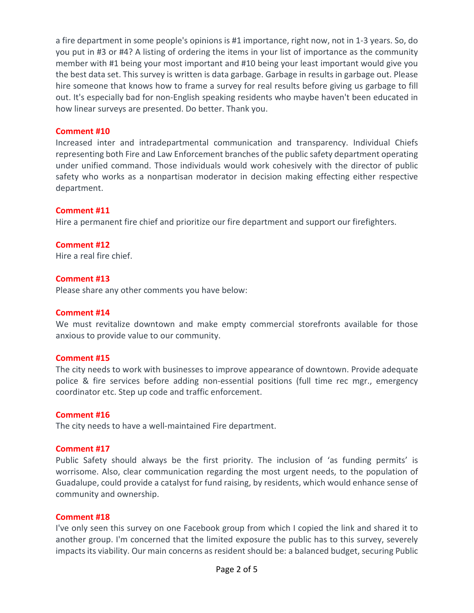a fire department in some people's opinions is #1 importance, right now, not in 1-3 years. So, do you put in #3 or #4? A listing of ordering the items in your list of importance as the community member with #1 being your most important and #10 being your least important would give you the best data set. This survey is written is data garbage. Garbage in results in garbage out. Please hire someone that knows how to frame a survey for real results before giving us garbage to fill out. It's especially bad for non-English speaking residents who maybe haven't been educated in how linear surveys are presented. Do better. Thank you.

## **Comment #10**

Increased inter and intradepartmental communication and transparency. Individual Chiefs representing both Fire and Law Enforcement branches of the public safety department operating under unified command. Those individuals would work cohesively with the director of public safety who works as a nonpartisan moderator in decision making effecting either respective department.

#### **Comment #11**

Hire a permanent fire chief and prioritize our fire department and support our firefighters.

#### **Comment #12**

Hire a real fire chief.

#### **Comment #13**

Please share any other comments you have below:

#### **Comment #14**

We must revitalize downtown and make empty commercial storefronts available for those anxious to provide value to our community.

#### **Comment #15**

The city needs to work with businesses to improve appearance of downtown. Provide adequate police & fire services before adding non-essential positions (full time rec mgr., emergency coordinator etc. Step up code and traffic enforcement.

#### **Comment #16**

The city needs to have a well-maintained Fire department.

#### **Comment #17**

Public Safety should always be the first priority. The inclusion of 'as funding permits' is worrisome. Also, clear communication regarding the most urgent needs, to the population of Guadalupe, could provide a catalyst for fund raising, by residents, which would enhance sense of community and ownership.

#### **Comment #18**

I've only seen this survey on one Facebook group from which I copied the link and shared it to another group. I'm concerned that the limited exposure the public has to this survey, severely impacts its viability. Our main concerns as resident should be: a balanced budget, securing Public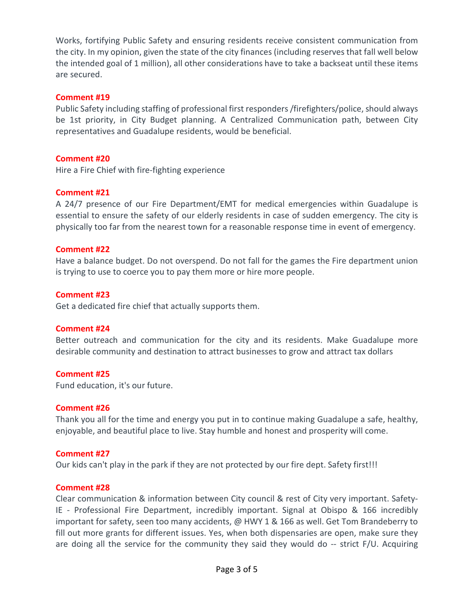Works, fortifying Public Safety and ensuring residents receive consistent communication from the city. In my opinion, given the state of the city finances (including reserves that fall well below the intended goal of 1 million), all other considerations have to take a backseat until these items are secured.

## **Comment #19**

Public Safety including staffing of professional first responders /firefighters/police, should always be 1st priority, in City Budget planning. A Centralized Communication path, between City representatives and Guadalupe residents, would be beneficial.

## **Comment #20**

Hire a Fire Chief with fire-fighting experience

## **Comment #21**

A 24/7 presence of our Fire Department/EMT for medical emergencies within Guadalupe is essential to ensure the safety of our elderly residents in case of sudden emergency. The city is physically too far from the nearest town for a reasonable response time in event of emergency.

## **Comment #22**

Have a balance budget. Do not overspend. Do not fall for the games the Fire department union is trying to use to coerce you to pay them more or hire more people.

## **Comment #23**

Get a dedicated fire chief that actually supports them.

## **Comment #24**

Better outreach and communication for the city and its residents. Make Guadalupe more desirable community and destination to attract businesses to grow and attract tax dollars

## **Comment #25**

Fund education, it's our future.

## **Comment #26**

Thank you all for the time and energy you put in to continue making Guadalupe a safe, healthy, enjoyable, and beautiful place to live. Stay humble and honest and prosperity will come.

## **Comment #27**

Our kids can't play in the park if they are not protected by our fire dept. Safety first!!!

#### **Comment #28**

Clear communication & information between City council & rest of City very important. Safety-IE - Professional Fire Department, incredibly important. Signal at Obispo & 166 incredibly important for safety, seen too many accidents, @ HWY 1 & 166 as well. Get Tom Brandeberry to fill out more grants for different issues. Yes, when both dispensaries are open, make sure they are doing all the service for the community they said they would do -- strict F/U. Acquiring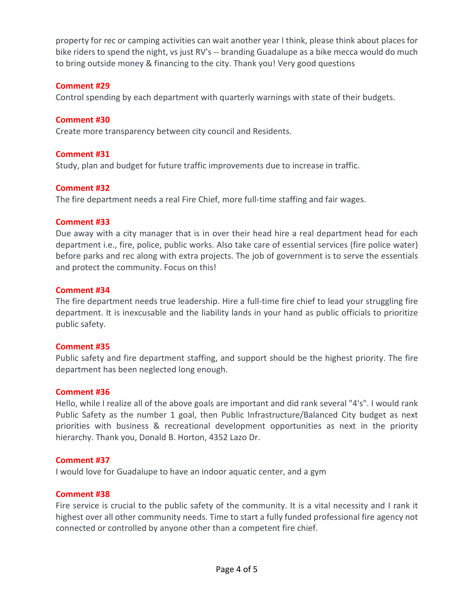property for rec or camping activities can wait another year I think, please think about places for bike riders to spend the night, vs just RV's -- branding Guadalupe as a bike mecca would do much to bring outside money & financing to the city. Thank you! Very good questions

## **Comment #29**

Control spending by each department with quarterly warnings with state of their budgets.

## **Comment #30**

Create more transparency between city council and Residents.

## **Comment #31**

Study, plan and budget for future traffic improvements due to increase in traffic.

## **Comment #32**

The fire department needs a real Fire Chief, more full-time staffing and fair wages.

## **Comment #33**

Due away with a city manager that is in over their head hire a real department head for each department i.e., fire, police, public works. Also take care of essential services (fire police water) before parks and rec along with extra projects. The job of government is to serve the essentials and protect the community. Focus on this!

#### **Comment #34**

The fire department needs true leadership. Hire a full-time fire chief to lead your struggling fire department. It is inexcusable and the liability lands in your hand as public officials to prioritize public safety.

## **Comment #35**

Public safety and fire department staffing, and support should be the highest priority. The fire department has been neglected long enough.

## **Comment #36**

Hello, while I realize all of the above goals are important and did rank several "4's". I would rank Public Safety as the number 1 goal, then Public Infrastructure/Balanced City budget as next priorities with business & recreational development opportunities as next in the priority hierarchy. Thank you, Donald B. Horton, 4352 Lazo Dr.

## **Comment #37**

I would love for Guadalupe to have an indoor aquatic center, and a gym

## **Comment #38**

Fire service is crucial to the public safety of the community. It is a vital necessity and I rank it highest over all other community needs. Time to start a fully funded professional fire agency not connected or controlled by anyone other than a competent fire chief.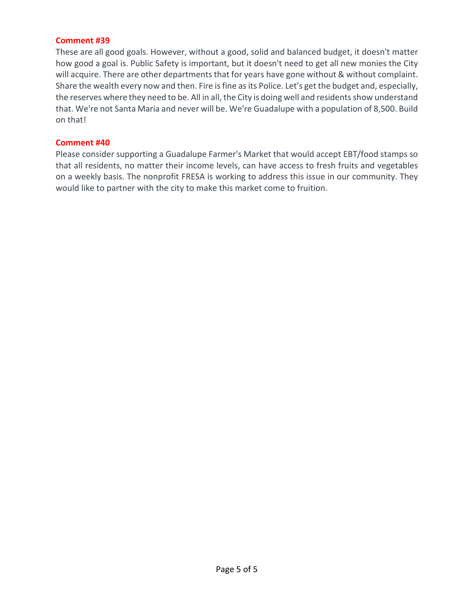## **Comment #39**

These are all good goals. However, without a good, solid and balanced budget, it doesn't matter how good a goal is. Public Safety is important, but it doesn't need to get all new monies the City will acquire. There are other departments that for years have gone without & without complaint. Share the wealth every now and then. Fire is fine as its Police. Let's get the budget and, especially, the reserves where they need to be. All in all, the City is doing well and residents show understand that. We're not Santa Maria and never will be. We're Guadalupe with a population of 8,500. Build on that!

#### **Comment #40**

Please consider supporting a Guadalupe Farmer's Market that would accept EBT/food stamps so that all residents, no matter their income levels, can have access to fresh fruits and vegetables on a weekly basis. The nonprofit FRESA is working to address this issue in our community. They would like to partner with the city to make this market come to fruition.